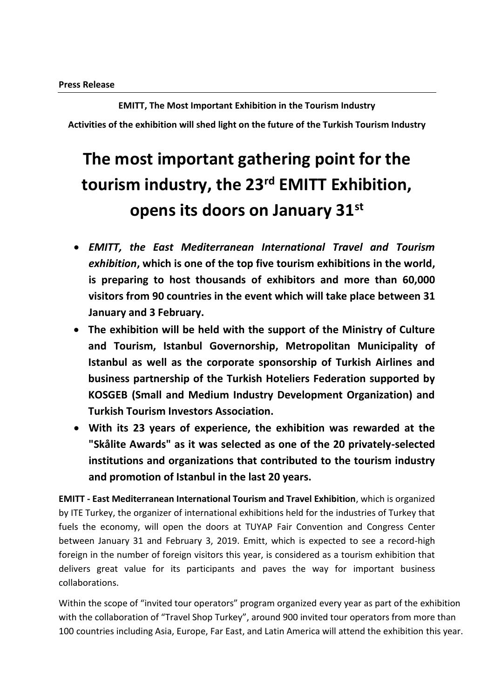**EMITT, The Most Important Exhibition in the Tourism Industry Activities of the exhibition will shed light on the future of the Turkish Tourism Industry**

## **The most important gathering point for the tourism industry, the 23rd EMITT Exhibition, opens its doors on January 31st**

- *EMITT, the East Mediterranean International Travel and Tourism exhibition***, which is one of the top five tourism exhibitions in the world, is preparing to host thousands of exhibitors and more than 60,000 visitors from 90 countries in the event which will take place between 31 January and 3 February.**
- **The exhibition will be held with the support of the Ministry of Culture and Tourism, Istanbul Governorship, Metropolitan Municipality of Istanbul as well as the corporate sponsorship of Turkish Airlines and business partnership of the Turkish Hoteliers Federation supported by KOSGEB (Small and Medium Industry Development Organization) and Turkish Tourism Investors Association.**
- **With its 23 years of experience, the exhibition was rewarded at the "Skålite Awards" as it was selected as one of the 20 privately-selected institutions and organizations that contributed to the tourism industry and promotion of Istanbul in the last 20 years.**

**EMITT - East Mediterranean International Tourism and Travel Exhibition**, which is organized by ITE Turkey, the organizer of international exhibitions held for the industries of Turkey that fuels the economy, will open the doors at TUYAP Fair Convention and Congress Center between January 31 and February 3, 2019. Emitt, which is expected to see a record-high foreign in the number of foreign visitors this year, is considered as a tourism exhibition that delivers great value for its participants and paves the way for important business collaborations.

Within the scope of "invited tour operators" program organized every year as part of the exhibition with the collaboration of "Travel Shop Turkey", around 900 invited tour operators from more than 100 countries including Asia, Europe, Far East, and Latin America will attend the exhibition this year.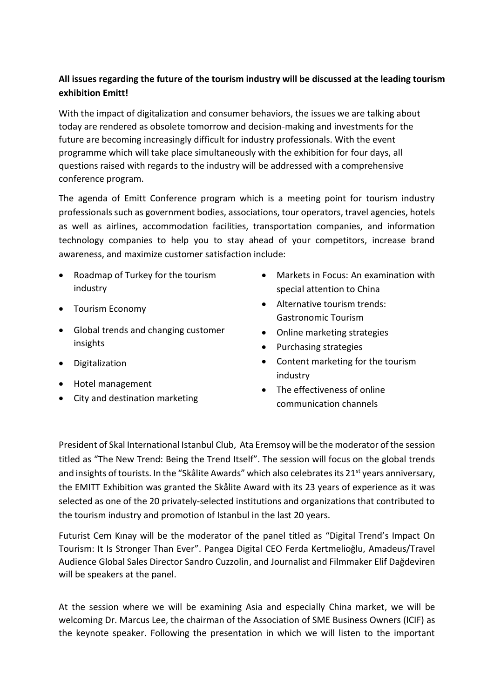## **All issues regarding the future of the tourism industry will be discussed at the leading tourism exhibition Emitt!**

With the impact of digitalization and consumer behaviors, the issues we are talking about today are rendered as obsolete tomorrow and decision-making and investments for the future are becoming increasingly difficult for industry professionals. With the event programme which will take place simultaneously with the exhibition for four days, all questions raised with regards to the industry will be addressed with a comprehensive conference program.

The agenda of Emitt Conference program which is a meeting point for tourism industry professionals such as government bodies, associations, tour operators, travel agencies, hotels as well as airlines, accommodation facilities, transportation companies, and information technology companies to help you to stay ahead of your competitors, increase brand awareness, and maximize customer satisfaction include:

- Roadmap of Turkey for the tourism industry
- Tourism Economy
- Global trends and changing customer insights
- Digitalization
- Hotel management
- City and destination marketing
- Markets in Focus: An examination with special attention to China
- Alternative tourism trends: Gastronomic Tourism
- Online marketing strategies
- Purchasing strategies
- Content marketing for the tourism industry
- The effectiveness of online communication channels

President of Skal International Istanbul Club, Ata Eremsoy will be the moderator of the session titled as "The New Trend: Being the Trend Itself". The session will focus on the global trends and insights of tourists. In the "Skålite Awards" which also celebrates its 21<sup>st</sup> years anniversary, the EMITT Exhibition was granted the Skålite Award with its 23 years of experience as it was selected as one of the 20 privately-selected institutions and organizations that contributed to the tourism industry and promotion of Istanbul in the last 20 years.

Futurist Cem Kınay will be the moderator of the panel titled as "Digital Trend's Impact On Tourism: It Is Stronger Than Ever". Pangea Digital CEO Ferda Kertmelioğlu, Amadeus/Travel Audience Global Sales Director Sandro Cuzzolin, and Journalist and Filmmaker Elif Dağdeviren will be speakers at the panel.

At the session where we will be examining Asia and especially China market, we will be welcoming Dr. Marcus Lee, the chairman of the Association of SME Business Owners (ICIF) as the keynote speaker. Following the presentation in which we will listen to the important